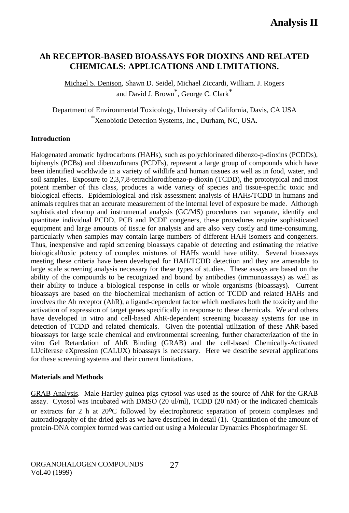# **Ah RECEPTOR-BASED BIOASSAYS FOR DIOXINS AND RELATED CHEMICALS: APPLICATIONS AND LIMITATIONS.**

Michael S. Denison, Shawn D. Seidel, Michael Ziccardi, William. J. Rogers and David J. Brown\*, George C. Clark\*

Department of Environmental Toxicology, University of California, Davis, CA USA \*Xenobiotic Detection Systems, Inc., Durham, NC, USA.

### **Introduction**

Halogenated aromatic hydrocarbons (HAHs), such as polychlorinated dibenzo-p-dioxins (PCDDs), biphenyls (PCBs) and dibenzofurans (PCDFs), represent a large group of compounds which have been identified worldwide in a variety of wildlife and human tissues as well as in food, water, and soil samples. Exposure to 2,3,7,8-tetrachlorodibenzo-p-dioxin (TCDD), the prototypical and most potent member of this class, produces a wide variety of species and tissue-specific toxic and biological effects. Epidemiological and risk assessment analysis of HAHs/TCDD in humans and animals requires that an accurate measurement of the internal level of exposure be made. Although sophisticated cleanup and instrumental analysis (GC/MS) procedures can separate, identify and quantitate individual PCDD, PCB and PCDF congeners, these procedures require sophisticated equipment and large amounts of tissue for analysis and are also very costly and time-consuming, particularly when samples may contain large numbers of different HAH isomers and congeners. Thus, inexpensive and rapid screening bioassays capable of detecting and estimating the relative biological/toxic potency of complex mixtures of HAHs would have utility. Several bioassays meeting these criteria have been developed for HAH/TCDD detection and they are amenable to large scale screening analysis necessary for these types of studies. These assays are based on the ability of the compounds to be recognized and bound by antibodies (immunoassays) as well as their ability to induce a biological response in cells or whole organisms (bioassays). Current bioassays are based on the biochemical mechanism of action of TCDD and related HAHs and involves the Ah receptor (AhR), a ligand-dependent factor which mediates both the toxicity and the activation of expression of target genes specifically in response to these chemicals. We and others have developed in vitro and cell-based AhR-dependent screening bioassay systems for use in detection of TCDD and related chemicals. Given the potential utilization of these AhR-based bioassays for large scale chemical and environmental screening, further characterization of the in vitro Gel Retardation of AhR Binding (GRAB) and the cell-based Chemically-Activated LUciferase eXpression (CALUX) bioassays is necessary. Here we describe several applications for these screening systems and their current limitations.

# **Materials and Methods**

GRAB Analysis. Male Hartley guinea pigs cytosol was used as the source of AhR for the GRAB assay. Cytosol was incubated with DMSO (20 ul/ml), TCDD (20 nM) or the indicated chemicals or extracts for 2 h at  $20^{\circ}$ C followed by electrophoretic separation of protein complexes and autoradiography of the dried gels as we have described in detail (1). Quantitation of the amount of protein-DNA complex formed was carried out using a Molecular Dynamics Phosphorimager SI.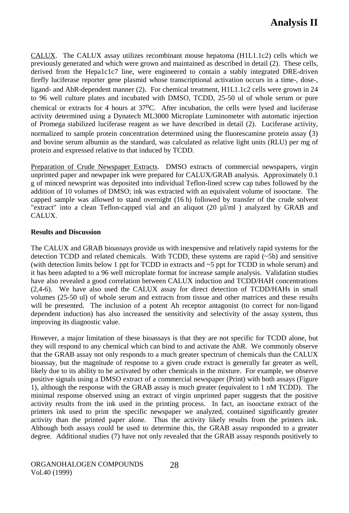CALUX. The CALUX assay utilizes recombinant mouse hepatoma (H1L1.1c2) cells which we previously generated and which were grown and maintained as described in detail (2). These cells, derived from the Hepa1c1c7 line, were engineered to contain a stably integrated DRE-driven firefly luciferase reporter gene plasmid whose transcriptional activation occurs in a time-, dose-, ligand- and AhR-dependent manner (2). For chemical treatment, H1L1.1c2 cells were grown in 24 to 96 well culture plates and incubated with DMSO, TCDD, 25-50 ul of whole serum or pure chemical or extracts for 4 hours at 37oC. After incubation, the cells were lysed and luciferase activity determined using a Dynatech ML3000 Microplate Luminometer with automatic injection of Promega stabilized luciferase reagent as we have described in detail (2). Luciferase activity, normalized to sample protein concentration determined using the fluorescamine protein assay (3) and bovine serum albumin as the standard, was calculated as relative light units (RLU) per mg of protein and expressed relative to that induced by TCDD.

Preparation of Crude Newspaper Extracts.DMSO extracts of commercial newspapers, virgin unprinted paper and newpaper ink were prepared for CALUX/GRAB analysis. Approximately 0.1 g of minced newsprint was deposited into individual Teflon-lined screw cap tubes followed by the addition of 10 volumes of DMSO; ink was extracted with an equivalent volume of isooctane. The capped sample was allowed to stand overnight (16 h) followed by transfer of the crude solvent "extract" into a clean Teflon-capped vial and an aliquot  $(20 \mu l/ml)$  analyzed by GRAB and CALUX.

#### **Results and Discussion**

The CALUX and GRAB bioassays provide us with inexpensive and relatively rapid systems for the detection TCDD and related chemicals. With TCDD, these systems are rapid (~5h) and sensitive (with detection limits below 1 ppt for TCDD in extracts and ~5 ppt for TCDD in whole serum) and it has been adapted to a 96 well microplate format for increase sample analysis. Validation studies have also revealed a good correlation between CALUX induction and TCDD/HAH concentrations (2,4-6). We have also used the CALUX assay for direct detection of TCDD/HAHs in small volumes (25-50 ul) of whole serum and extracts from tissue and other matrices and these results will be presented. The inclusion of a potent Ah receptor antagonist (to correct for non-ligand dependent induction) has also increased the sensitivity and selectivity of the assay system, thus improving its diagnostic value.

However, a major limitation of these bioassays is that they are not specific for TCDD alone, but they will respond to any chemical which can bind to and activate the AhR. We commonly observe that the GRAB assay not only responds to a much greater spectrum of chemicals than the CALUX bioassay, but the magnitude of response to a given crude extract is generally far greater as well, likely due to its ability to be activated by other chemicals in the mixture. For example, we observe positive signals using a DMSO extract of a commercial newspaper (Print) with both assays (Figure 1), although the response with the GRAB assay is much greater (equivalent to 1 nM TCDD). The minimal response observed using an extract of virgin unprinted paper suggests that the positive activity results from the ink used in the printing process. In fact, an isooctane extract of the printers ink used to print the specific newspaper we analyzed, contained significantly greater activity than the printed paper alone. Thus the activity likely results from the printers ink. Although both assays could be used to determine this, the GRAB assay responded to a greater degree. Additional studies (7) have not only revealed that the GRAB assay responds positively to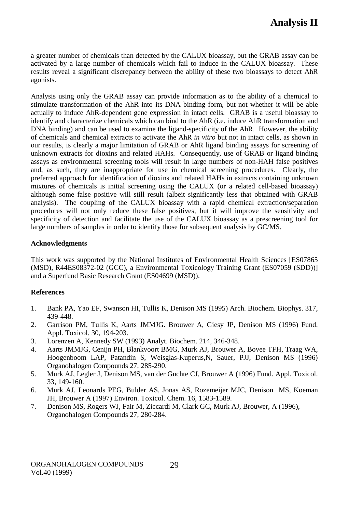a greater number of chemicals than detected by the CALUX bioassay, but the GRAB assay can be activated by a large number of chemicals which fail to induce in the CALUX bioassay. These results reveal a significant discrepancy between the ability of these two bioassays to detect AhR agonists.

Analysis using only the GRAB assay can provide information as to the ability of a chemical to stimulate transformation of the AhR into its DNA binding form, but not whether it will be able actually to induce AhR-dependent gene expression in intact cells. GRAB is a useful bioassay to identify and characterize chemicals which can bind to the AhR (i.e. induce AhR transformation and DNA binding) and can be used to examine the ligand-specificity of the AhR. However, the ability of chemicals and chemical extracts to activate the AhR *in vitro* but not in intact cells, as shown in our results, is clearly a major limitation of GRAB or AhR ligand binding assays for screening of unknown extracts for dioxins and related HAHs. Consequently, use of GRAB or ligand binding assays as environmental screening tools will result in large numbers of non-HAH false positives and, as such, they are inappropriate for use in chemical screening procedures. Clearly, the preferred approach for identification of dioxins and related HAHs in extracts containing unknown mixtures of chemicals is initial screening using the CALUX (or a related cell-based bioassay) although some false positive will still result (albeit significantly less that obtained with GRAB analysis). The coupling of the CALUX bioassay with a rapid chemical extraction/separation procedures will not only reduce these false positives, but it will improve the sensitivity and specificity of detection and facilitate the use of the CALUX bioassay as a prescreening tool for large numbers of samples in order to identify those for subsequent analysis by GC/MS.

#### **Acknowledgments**

This work was supported by the National Institutes of Environmental Health Sciences [ES07865 (MSD), R44ES08372-02 (GCC), a Environmental Toxicology Training Grant (ES07059 (SDD))] and a Superfund Basic Research Grant (ES04699 (MSD)).

# **References**

- 1. Bank PA, Yao EF, Swanson HI, Tullis K, Denison MS (1995) Arch. Biochem. Biophys. 317, 439-448.
- 2. Garrison PM, Tullis K, Aarts JMMJG. Brouwer A, Giesy JP, Denison MS (1996) Fund. Appl. Toxicol. 30, 194-203.
- 3. Lorenzen A, Kennedy SW (1993) Analyt. Biochem. 214, 346-348.
- 4. Aarts JMMJG, Cenijn PH, Blankvoort BMG, Murk AJ, Brouwer A, Bovee TFH, Traag WA, Hoogenboom LAP, Patandin S, Weisglas-Kuperus,N, Sauer, PJJ, Denison MS (1996) Organohalogen Compounds 27, 285-290.
- 5. Murk AJ, Legler J, Denison MS, van der Guchte CJ, Brouwer A (1996) Fund. Appl. Toxicol. 33, 149-160.
- 6. Murk AJ, Leonards PEG, Bulder AS, Jonas AS, Rozemeijer MJC, Denison MS, Koeman JH, Brouwer A (1997) Environ. Toxicol. Chem. 16, 1583-1589.
- 7. Denison MS, Rogers WJ, Fair M, Ziccardi M, Clark GC, Murk AJ, Brouwer, A (1996), Organohalogen Compounds 27, 280-284.